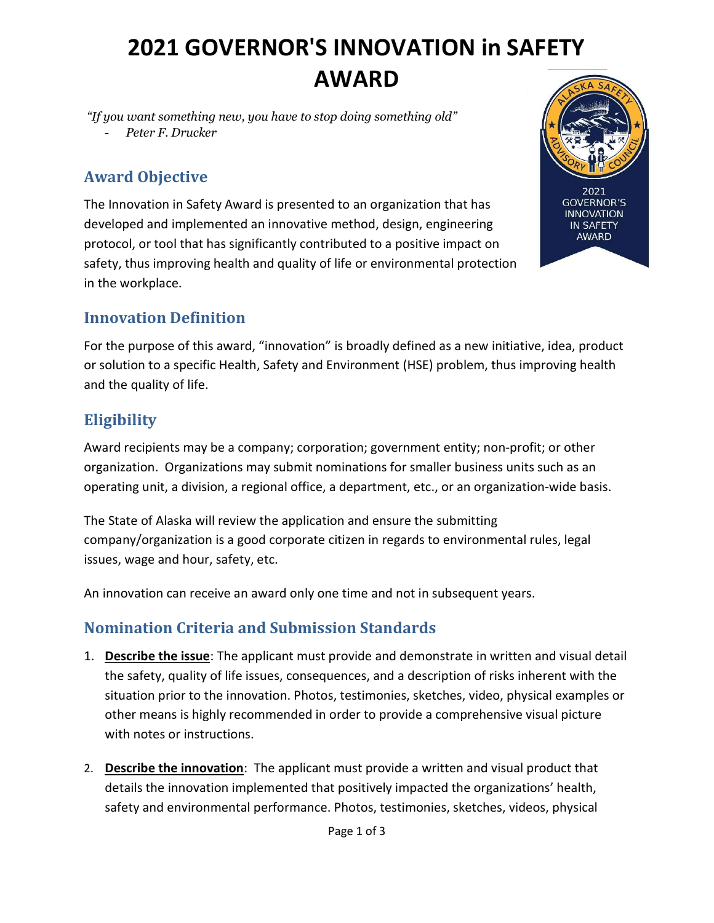# 2021 GOVERNOR'S INNOVATION in SAFETY AWARD

"If you want something new, you have to stop doing something old"

Peter F. Drucker

## Award Objective

The Innovation in Safety Award is presented to an organization that has developed and implemented an innovative method, design, engineering protocol, or tool that has significantly contributed to a positive impact on safety, thus improving health and quality of life or environmental protection in the workplace.



For the purpose of this award, "innovation" is broadly defined as a new initiative, idea, product or solution to a specific Health, Safety and Environment (HSE) problem, thus improving health and the quality of life.

### **Eligibility**

Award recipients may be a company; corporation; government entity; non-profit; or other organization. Organizations may submit nominations for smaller business units such as an operating unit, a division, a regional office, a department, etc., or an organization-wide basis.

The State of Alaska will review the application and ensure the submitting company/organization is a good corporate citizen in regards to environmental rules, legal issues, wage and hour, safety, etc.

An innovation can receive an award only one time and not in subsequent years.

### Nomination Criteria and Submission Standards

- 1. Describe the issue: The applicant must provide and demonstrate in written and visual detail the safety, quality of life issues, consequences, and a description of risks inherent with the situation prior to the innovation. Photos, testimonies, sketches, video, physical examples or other means is highly recommended in order to provide a comprehensive visual picture with notes or instructions.
- 2. Describe the innovation: The applicant must provide a written and visual product that details the innovation implemented that positively impacted the organizations' health, safety and environmental performance. Photos, testimonies, sketches, videos, physical

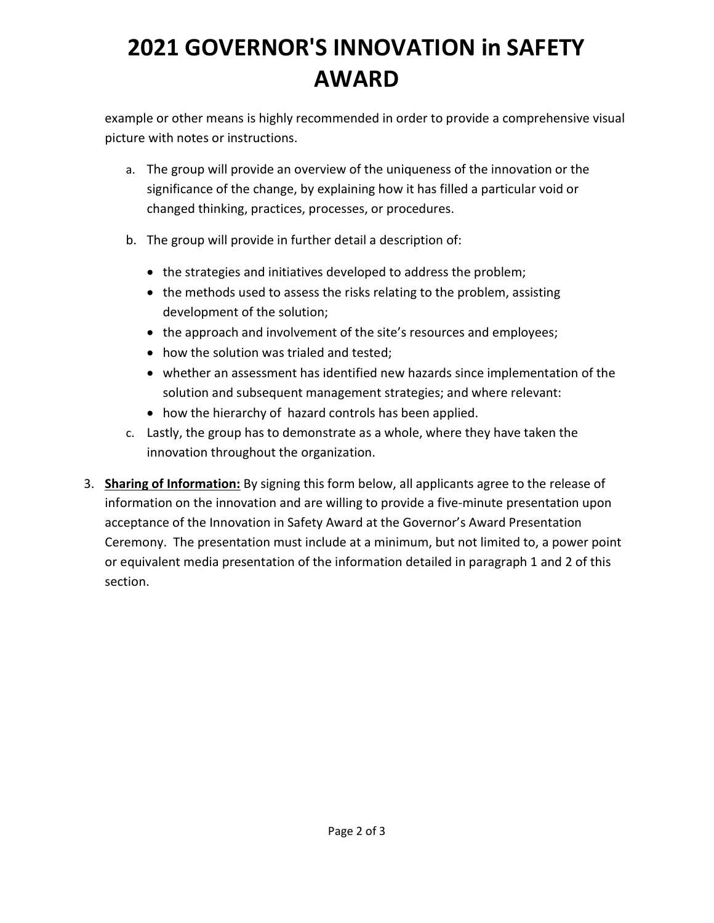# 2021 GOVERNOR'S INNOVATION in SAFETY AWARD

example or other means is highly recommended in order to provide a comprehensive visual picture with notes or instructions.

- a. The group will provide an overview of the uniqueness of the innovation or the significance of the change, by explaining how it has filled a particular void or changed thinking, practices, processes, or procedures.
- b. The group will provide in further detail a description of:
	- the strategies and initiatives developed to address the problem;
	- the methods used to assess the risks relating to the problem, assisting development of the solution;
	- the approach and involvement of the site's resources and employees;
	- how the solution was trialed and tested;
	- whether an assessment has identified new hazards since implementation of the solution and subsequent management strategies; and where relevant:
	- how the hierarchy of hazard controls has been applied.
- c. Lastly, the group has to demonstrate as a whole, where they have taken the innovation throughout the organization.
- 3. Sharing of Information: By signing this form below, all applicants agree to the release of information on the innovation and are willing to provide a five-minute presentation upon acceptance of the Innovation in Safety Award at the Governor's Award Presentation Ceremony. The presentation must include at a minimum, but not limited to, a power point or equivalent media presentation of the information detailed in paragraph 1 and 2 of this section.